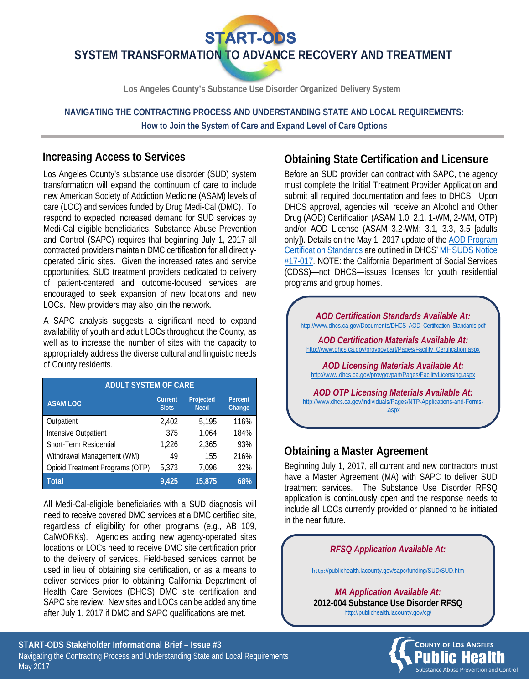**SYSTEM TRANSFORMATION TO ADVANCE RECOVERY AND TREATMENT START-ODS** 

**Los Angeles County's Substance Use Disorder Organized Delivery System** 

**NAVIGATING THE CONTRACTING PROCESS AND UNDERSTANDING STATE AND LOCAL REQUIREMENTS: How to Join the System of Care and Expand Level of Care Options** 

## **Increasing Access to Services**

Los Angeles County's substance use disorder (SUD) system transformation will expand the continuum of care to include new American Society of Addiction Medicine (ASAM) levels of care (LOC) and services funded by Drug Medi-Cal (DMC). To respond to expected increased demand for SUD services by Medi-Cal eligible beneficiaries, Substance Abuse Prevention and Control (SAPC) requires that beginning July 1, 2017 all contracted providers maintain DMC certification for all directlyoperated clinic sites. Given the increased rates and service opportunities, SUD treatment providers dedicated to delivery of patient-centered and outcome-focused services are encouraged to seek expansion of new locations and new LOCs. New providers may also join the network.

A SAPC analysis suggests a significant need to expand availability of youth and adult LOCs throughout the County, as well as to increase the number of sites with the capacity to appropriately address the diverse cultural and linguistic needs of County residents.

| <b>ADULT SYSTEM OF CARE</b>     |                                |                          |                   |
|---------------------------------|--------------------------------|--------------------------|-------------------|
| <b>ASAM LOC</b>                 | <b>Current</b><br><b>Slots</b> | Projected<br><b>Need</b> | Percent<br>Change |
| Outpatient                      | 2.402                          | 5.195                    | 116%              |
| Intensive Outpatient            | 375                            | 1.064                    | 184%              |
| Short-Term Residential          | 1.226                          | 2,365                    | 93%               |
| Withdrawal Management (WM)      | 49                             | 155                      | 216%              |
| Opioid Treatment Programs (OTP) | 5,373                          | 7,096                    | 32%               |
| Total                           | 9.425                          | 15,875                   | 68%               |

All Medi-Cal-eligible beneficiaries with a SUD diagnosis will need to receive covered DMC services at a DMC certified site, regardless of eligibility for other programs (e.g., AB 109, CalWORKs). Agencies adding new agency-operated sites locations or LOCs need to receive DMC site certification prior to the delivery of services. Field-based services cannot be used in lieu of obtaining site certification, or as a means to deliver services prior to obtaining California Department of Health Care Services (DHCS) DMC site certification and SAPC site review. New sites and LOCs can be added any time after July 1, 2017 if DMC and SAPC qualifications are met.

## **Obtaining State Certification and Licensure**

Before an SUD provider can contract with SAPC, the agency must complete the Initial Treatment Provider Application and submit all required documentation and fees to DHCS. Upon DHCS approval, agencies will receive an Alcohol and Other Drug (AOD) Certification (ASAM 1.0, 2.1, 1-WM, 2-WM, OTP) and/or AOD License (ASAM 3.2-WM; 3.1, 3.3, 3.5 [adults only]). Details on the May 1, 2017 update of the AOD Program Certification Standards are outlined in DHCS' MHSUDS Notice #17-017. NOTE: the California Department of Social Services (CDSS)—not DHCS—issues licenses for youth residential programs and group homes.



# **Obtaining a Master Agreement**

Beginning July 1, 2017, all current and new contractors must have a Master Agreement (MA) with SAPC to deliver SUD treatment services. The Substance Use Disorder RFSQ application is continuously open and the response needs to include all LOCs currently provided or planned to be initiated in the near future.

*RFSQ Application Available At:*  http://publichealth.lacounty.gov/sapc/funding/SUD/SUD.htm *MA Application Available At:*  **2012-004 Substance Use Disorder RFSQ**  http://publichealth.lacounty.gov/cg/

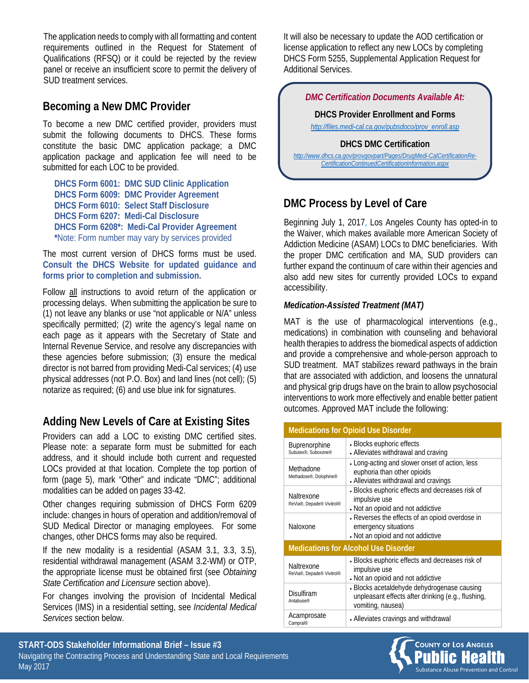The application needs to comply with all formatting and content requirements outlined in the Request for Statement of Qualifications (RFSQ) or it could be rejected by the review panel or receive an insufficient score to permit the delivery of SUD treatment services.

## **Becoming a New DMC Provider**

To become a new DMC certified provider, providers must submit the following documents to DHCS. These forms constitute the basic DMC application package; a DMC application package and application fee will need to be submitted for each LOC to be provided.

**DHCS Form 6001: DMC SUD Clinic Application DHCS Form 6009: DMC Provider Agreement DHCS Form 6010: Select Staff Disclosure DHCS Form 6207: Medi-Cal Disclosure DHCS Form 6208\*: Medi-Cal Provider Agreement \***Note: Form number may vary by services provided

The most current version of DHCS forms must be used. **Consult the DHCS Website for updated guidance and forms prior to completion and submission.**

Follow all instructions to avoid return of the application or processing delays. When submitting the application be sure to (1) not leave any blanks or use "not applicable or N/A" unless specifically permitted; (2) write the agency's legal name on each page as it appears with the Secretary of State and Internal Revenue Service, and resolve any discrepancies with these agencies before submission; (3) ensure the medical director is not barred from providing Medi-Cal services; (4) use physical addresses (not P.O. Box) and land lines (not cell); (5) notarize as required; (6) and use blue ink for signatures.

# **Adding New Levels of Care at Existing Sites**

Providers can add a LOC to existing DMC certified sites. Please note: a separate form must be submitted for each address, and it should include both current and requested LOCs provided at that location. Complete the top portion of form (page 5), mark "Other" and indicate "DMC"; additional modalities can be added on pages 33-42.

Other changes requiring submission of DHCS Form 6209 include: changes in hours of operation and addition/removal of SUD Medical Director or managing employees. For some changes, other DHCS forms may also be required.

If the new modality is a residential (ASAM 3.1, 3.3, 3.5), residential withdrawal management (ASAM 3.2-WM) or OTP, the appropriate license must be obtained first (see *Obtaining State Certification and Licensure* section above).

For changes involving the provision of Incidental Medical Services (IMS) in a residential setting, see *Incidental Medical Services* section below.

It will also be necessary to update the AOD certification or license application to reflect any new LOCs by completing DHCS Form 5255, Supplemental Application Request for Additional Services.

*DMC Certification Documents Available At:* 

**DHCS Provider Enrollment and Forms** 

*http://files.medi-cal.ca.gov/pubsdoco/prov\_enroll.asp*

#### **DHCS DMC Certification**

*http://www.dhcs.ca.gov/provgovpart/Pages/DrugMedi-CalCertificationRe-CertificationContinuedCertificationInformation.aspx* 

# **DMC Process by Level of Care**

Beginning July 1, 2017, Los Angeles County has opted-in to the Waiver, which makes available more American Society of Addiction Medicine (ASAM) LOCs to DMC beneficiaries. With the proper DMC certification and MA, SUD providers can further expand the continuum of care within their agencies and also add new sites for currently provided LOCs to expand accessibility.

## *Medication-Assisted Treatment (MAT)*

MAT is the use of pharmacological interventions (e.g., medications) in combination with counseling and behavioral health therapies to address the biomedical aspects of addiction and provide a comprehensive and whole-person approach to SUD treatment. MAT stabilizes reward pathways in the brain that are associated with addiction, and loosens the unnatural and physical grip drugs have on the brain to allow psychosocial interventions to work more effectively and enable better patient outcomes. Approved MAT include the following:

| <b>Medications for Opioid Use Disorder</b>  |                                                                                                                        |  |
|---------------------------------------------|------------------------------------------------------------------------------------------------------------------------|--|
| Buprenorphine<br>Subutex®, Suboxone®        | • Blocks euphoric effects<br>• Alleviates withdrawal and craving                                                       |  |
| Methadone<br>Methadose®, Dolophine®         | • Long-acting and slower onset of action, less<br>euphoria than other opioids<br>• Alleviates withdrawal and cravings  |  |
| Naltrexone<br>ReVia®, Depade® Vivitrol®     | • Blocks euphoric effects and decreases risk of<br>impulsive use<br>. Not an opioid and not addictive                  |  |
| Naloxone                                    | Reverses the effects of an opioid overdose in<br>emergency situations<br>. Not an opioid and not addictive             |  |
| <b>Medications for Alcohol Use Disorder</b> |                                                                                                                        |  |
| Naltrexone<br>ReVia®, Depade® Vivitrol®     | • Blocks euphoric effects and decreases risk of<br>impulsive use<br>. Not an opioid and not addictive                  |  |
| Disulfiram<br>Antabuse®                     | • Blocks acetaldehyde dehydrogenase causing<br>unpleasant effects after drinking (e.g., flushing,<br>vomiting, nausea) |  |
| Acamprosate<br>Campral®                     | • Alleviates cravings and withdrawal                                                                                   |  |

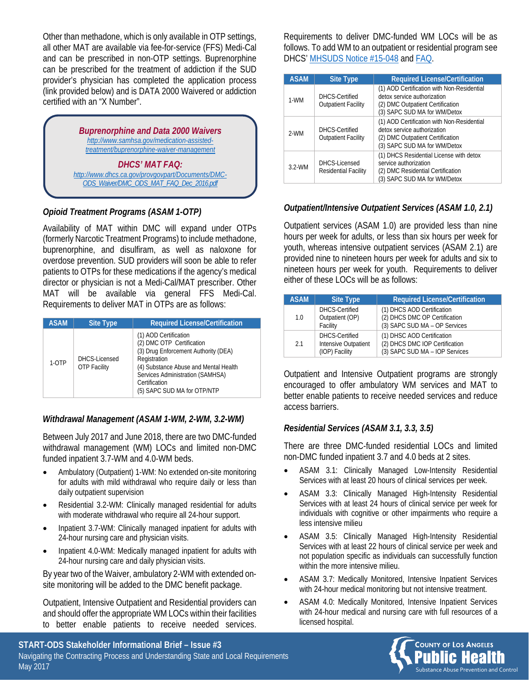Other than methadone, which is only available in OTP settings, all other MAT are available via fee-for-service (FFS) Medi-Cal and can be prescribed in non-OTP settings. Buprenorphine can be prescribed for the treatment of addiction if the SUD provider's physician has completed the application process (link provided below) and is DATA 2000 Waivered or addiction certified with an "X Number".



## *Opioid Treatment Programs (ASAM 1-OTP)*

Availability of MAT within DMC will expand under OTPs (formerly Narcotic Treatment Programs) to include methadone, buprenorphine, and disulfiram, as well as naloxone for overdose prevention. SUD providers will soon be able to refer patients to OTPs for these medications if the agency's medical director or physician is not a Medi-Cal/MAT prescriber. Other MAT will be available via general FFS Medi-Cal. Requirements to deliver MAT in OTPs are as follows:

| <b>ASAM</b> | <b>Site Type</b>                     | <b>Required License/Certification</b>                                                                                                                                                                                                   |
|-------------|--------------------------------------|-----------------------------------------------------------------------------------------------------------------------------------------------------------------------------------------------------------------------------------------|
| $1-0TP$     | DHCS-Licensed<br><b>OTP Facility</b> | (1) AOD Certification<br>(2) DMC OTP Certification<br>(3) Drug Enforcement Authority (DEA)<br>Registration<br>(4) Substance Abuse and Mental Health<br>Services Administration (SAMHSA)<br>Certification<br>(5) SAPC SUD MA for OTP/NTP |

## *Withdrawal Management (ASAM 1-WM, 2-WM, 3.2-WM)*

Between July 2017 and June 2018, there are two DMC-funded withdrawal management (WM) LOCs and limited non-DMC funded inpatient 3.7-WM and 4.0-WM beds.

- Ambulatory (Outpatient) 1-WM: No extended on-site monitoring for adults with mild withdrawal who require daily or less than daily outpatient supervision
- Residential 3.2-WM: Clinically managed residential for adults with moderate withdrawal who require all 24-hour support.
- Inpatient 3.7-WM: Clinically managed inpatient for adults with 24-hour nursing care and physician visits.
- Inpatient 4.0-WM: Medically managed inpatient for adults with 24-hour nursing care and daily physician visits.

By year two of the Waiver, ambulatory 2-WM with extended onsite monitoring will be added to the DMC benefit package.

Outpatient, Intensive Outpatient and Residential providers can and should offer the appropriate WM LOCs within their facilities to better enable patients to receive needed services.

**START-ODS Stakeholder Informational Brief – Issue #3**  Navigating the Contracting Process and Understanding State and Local Requirements Navigating the Contracting Process and Understanding State and Local Requirements<br>May 2017 Substance Abuse Prevention and Control

Requirements to deliver DMC-funded WM LOCs will be as follows. To add WM to an outpatient or residential program see DHCS' [MHSUDS Notice #15-048](http://www.dhcs.ca.gov/formsandpubs/Documents/MHSUDS_Information_Notice_15-048_Addition_of_Withdrawal_Management_(DETOX)_Services.pdf) and [FAQ.](http://www.dhcs.ca.gov/provgovpart/Documents/DMC-ODS_Waiver/DMC_ODS_MAT_FAQ_Dec_2016.pdf)

| <b>ASAM</b> | <b>Site Type</b>                             | <b>Required License/Certification</b>                                                                                                         |
|-------------|----------------------------------------------|-----------------------------------------------------------------------------------------------------------------------------------------------|
| 1-WM        | DHCS-Certified<br><b>Outpatient Facility</b> | (1) AOD Certification with Non-Residential<br>detox service authorization<br>(2) DMC Outpatient Certification<br>(3) SAPC SUD MA for WM/Detox |
| 2-WM        | DHCS-Certified<br><b>Outpatient Facility</b> | (1) AOD Certification with Non-Residential<br>detox service authorization<br>(2) DMC Outpatient Certification<br>(3) SAPC SUD MA for WM/Detox |
| $3.2-WM$    | DHCS-Licensed<br>Residential Facility        | (1) DHCS Residential License with detox<br>service authorization<br>(2) DMC Residential Certification<br>(3) SAPC SUD MA for WM/Detox         |

## *Outpatient/Intensive Outpatient Services (ASAM 1.0, 2.1)*

Outpatient services (ASAM 1.0) are provided less than nine hours per week for adults, or less than six hours per week for youth, whereas intensive outpatient services (ASAM 2.1) are provided nine to nineteen hours per week for adults and six to nineteen hours per week for youth. Requirements to deliver either of these LOCs will be as follows:

| <b>ASAM</b>    | <b>Site Type</b>                                         | <b>Required License/Certification</b>                                                          |
|----------------|----------------------------------------------------------|------------------------------------------------------------------------------------------------|
| 1 <sub>0</sub> | <b>DHCS-Certified</b><br>Outpatient (OP)<br>Facility     | (1) DHCS AOD Certification<br>(2) DHCS DMC OP Certification<br>(3) SAPC SUD MA - OP Services   |
| 2.1            | DHCS-Certified<br>Intensive Outpatient<br>(IOP) Facility | (1) DHSC AOD Certification<br>(2) DHCS DMC IOP Certification<br>(3) SAPC SUD MA - IOP Services |

Outpatient and Intensive Outpatient programs are strongly encouraged to offer ambulatory WM services and MAT to better enable patients to receive needed services and reduce access barriers.

## *Residential Services (ASAM 3.1, 3.3, 3.5)*

There are three DMC-funded residential LOCs and limited non-DMC funded inpatient 3.7 and 4.0 beds at 2 sites.

- ASAM 3.1: Clinically Managed Low-Intensity Residential Services with at least 20 hours of clinical services per week.
- ASAM 3.3: Clinically Managed High-Intensity Residential Services with at least 24 hours of clinical service per week for individuals with cognitive or other impairments who require a less intensive milieu
- ASAM 3.5: Clinically Managed High-Intensity Residential Services with at least 22 hours of clinical service per week and not population specific as individuals can successfully function within the more intensive milieu.
- ASAM 3.7: Medically Monitored, Intensive Inpatient Services with 24-hour medical monitoring but not intensive treatment.
- ASAM 4.0: Medically Monitored, Intensive Inpatient Services with 24-hour medical and nursing care with full resources of a licensed hospital.